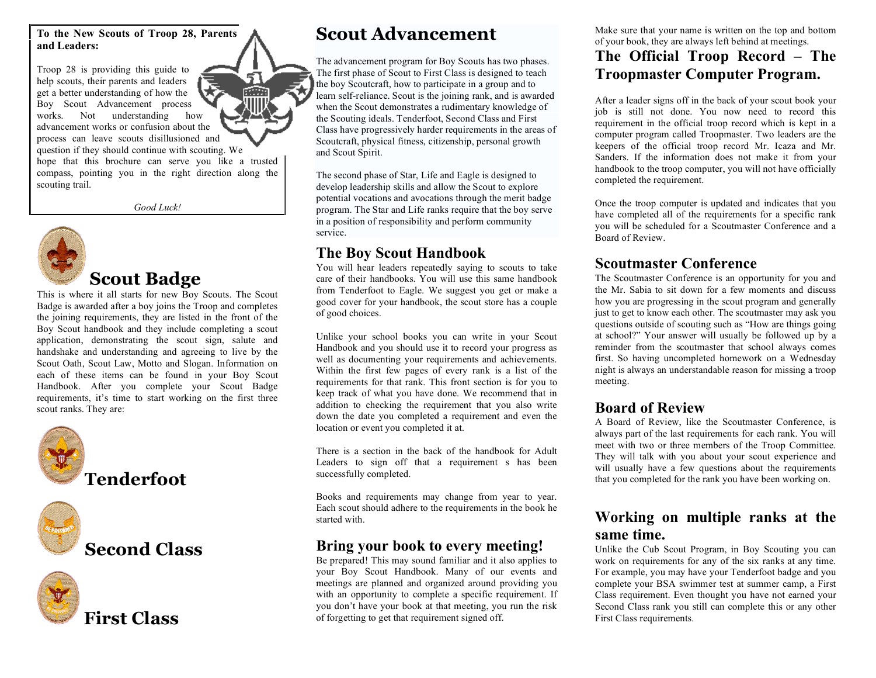**To the New Scouts of Troop 28, Parents and Leaders:**

Troop 28 is providing this guide to help scouts, their parents and leaders get a better understanding of how the Boy Scout Advancement process works. Not understanding how advancement works or confusion about the process can leave scouts disillusioned and question if they should continue with scouting. We

hope that this brochure can serve you like a trusted compass, pointing you in the right direction along the scouting trail.

*Good Luck!*



**Scout Badge**

This is where it all starts for new Boy Scouts. The Scout Badge is awarded after a boy joins the Troop and completes the joining requirements, they are listed in the front of the Boy Scout handbook and they include completing a scout application, demonstrating the scout sign, salute and handshake and understanding and agreeing to live by the Scout Oath, Scout Law, Motto and Slogan. Information on each of these items can be found in your Boy Scout Handbook. After you complete your Scout Badge requirements, it's time to start working on the first three scout ranks. They are:



**Second Class**



**Scout Advancement**

The advancement program for Boy Scouts has two phases. The first phase of Scout to First Class is designed to teach the boy Scoutcraft, how to participate in a group and to learn self-reliance. Scout is the joining rank, and is awarded when the Scout demonstrates a rudimentary knowledge of the Scouting ideals. Tenderfoot, Second Class and First Class have progressively harder requirements in the areas of Scoutcraft, physical fitness, citizenship, personal growth and Scout Spirit.

The second phase of Star, Life and Eagle is designed to develop leadership skills and allow the Scout to explore potential vocations and avocations through the merit badge program. The Star and Life ranks require that the boy serve in a position of responsibility and perform community service.

### **The Boy Scout Handbook**

You will hear leaders repeatedly saying to scouts to take care of their handbooks. You will use this same handbook from Tenderfoot to Eagle. We suggest you get or make a good cover for your handbook, the scout store has a couple of good choices.

Unlike your school books you can write in your Scout Handbook and you should use it to record your progress as well as documenting your requirements and achievements. Within the first few pages of every rank is a list of the requirements for that rank. This front section is for you to keep track of what you have done. We recommend that in addition to checking the requirement that you also write down the date you completed a requirement and even the location or event you completed it at.

There is a section in the back of the handbook for Adult Leaders to sign off that a requirement s has been successfully completed.

Books and requirements may change from year to year. Each scout should adhere to the requirements in the book he started with.

### **Bring your book to every meeting!**

Be prepared! This may sound familiar and it also applies to your Boy Scout Handbook. Many of our events and meetings are planned and organized around providing you with an opportunity to complete a specific requirement. If you don't have your book at that meeting, you run the risk of forgetting to get that requirement signed off.

Make sure that your name is written on the top and bottom of your book, they are always left behind at meetings.

### **The Official Troop Record – The Troopmaster Computer Program.**

After a leader signs off in the back of your scout book your job is still not done. You now need to record this requirement in the official troop record which is kept in a computer program called Troopmaster. Two leaders are the keepers of the official troop record Mr. Icaza and Mr. Sanders. If the information does not make it from your handbook to the troop computer, you will not have officially completed the requirement.

Once the troop computer is updated and indicates that you have completed all of the requirements for a specific rank you will be scheduled for a Scoutmaster Conference and a Board of Review.

### **Scoutmaster Conference**

The Scoutmaster Conference is an opportunity for you and the Mr. Sabia to sit down for a few moments and discuss how you are progressing in the scout program and generally just to get to know each other. The scoutmaster may ask you questions outside of scouting such as "How are things going at school?" Your answer will usually be followed up by a reminder from the scoutmaster that school always comes first. So having uncompleted homework on a Wednesday night is always an understandable reason for missing a troop meeting.

### **Board of Review**

A Board of Review, like the Scoutmaster Conference, is always part of the last requirements for each rank. You will meet with two or three members of the Troop Committee. They will talk with you about your scout experience and will usually have a few questions about the requirements that you completed for the rank you have been working on.

### **Working on multiple ranks at the same time.**

Unlike the Cub Scout Program, in Boy Scouting you can work on requirements for any of the six ranks at any time. For example, you may have your Tenderfoot badge and you complete your BSA swimmer test at summer camp, a First Class requirement. Even thought you have not earned your Second Class rank you still can complete this or any other First Class requirements.